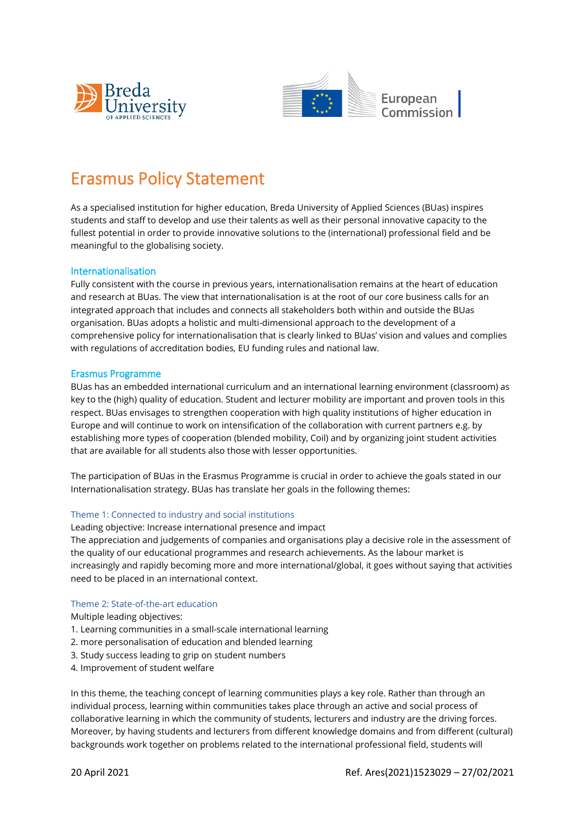



# Erasmus Policy Statement

As a specialised institution for higher education, Breda University of Applied Sciences (BUas) inspires students and staff to develop and use their talents as well as their personal innovative capacity to the fullest potential in order to provide innovative solutions to the (international) professional field and be meaningful to the globalising society.

# Internationalisation

Fully consistent with the course in previous years, internationalisation remains at the heart of education and research at BUas. The view that internationalisation is at the root of our core business calls for an integrated approach that includes and connects all stakeholders both within and outside the BUas organisation. BUas adopts a holistic and multi-dimensional approach to the development of a comprehensive policy for internationalisation that is clearly linked to BUas' vision and values and complies with regulations of accreditation bodies, EU funding rules and national law.

# Erasmus Programme

BUas has an embedded international curriculum and an international learning environment (classroom) as key to the (high) quality of education. Student and lecturer mobility are important and proven tools in this respect. BUas envisages to strengthen cooperation with high quality institutions of higher education in Europe and will continue to work on intensification of the collaboration with current partners e.g. by establishing more types of cooperation (blended mobility, Coil) and by organizing joint student activities that are available for all students also those with lesser opportunities.

The participation of BUas in the Erasmus Programme is crucial in order to achieve the goals stated in our Internationalisation strategy. BUas has translate her goals in the following themes:

## Theme 1: Connected to industry and social institutions

Leading objective: Increase international presence and impact

The appreciation and judgements of companies and organisations play a decisive role in the assessment of the quality of our educational programmes and research achievements. As the labour market is increasingly and rapidly becoming more and more international/global, it goes without saying that activities need to be placed in an international context.

## Theme 2: State-of-the-art education

Multiple leading objectives:

- 1. Learning communities in a small-scale international learning
- 2. more personalisation of education and blended learning
- 3. Study success leading to grip on student numbers
- 4. Improvement of student welfare

In this theme, the teaching concept of learning communities plays a key role. Rather than through an individual process, learning within communities takes place through an active and social process of collaborative learning in which the community of students, lecturers and industry are the driving forces. Moreover, by having students and lecturers from different knowledge domains and from different (cultural) backgrounds work together on problems related to the international professional field, students will